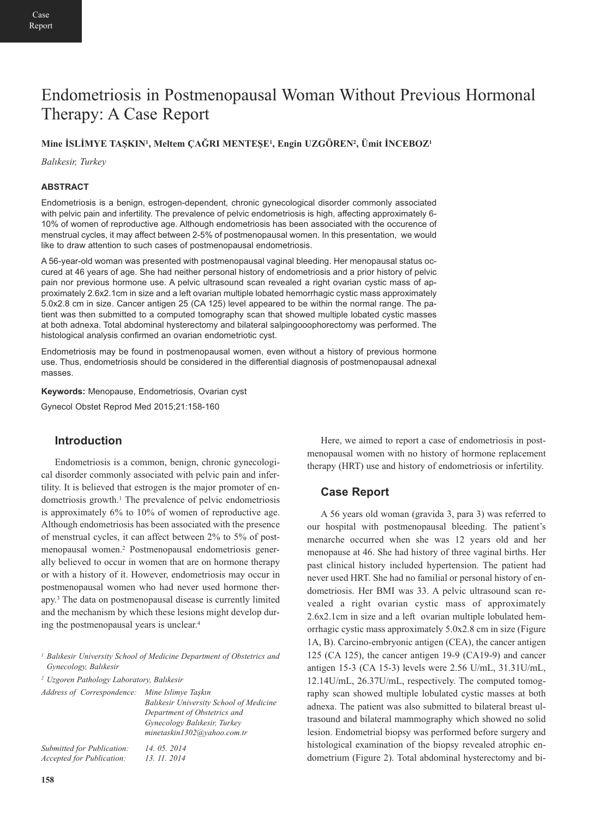# Endometriosis in Postmenopausal Woman Without Previous Hormonal Therapy: A Case Report

## **Mine İSLİMYE TAŞKIN1, Meltem ÇAĞRI MENTEŞE1, Engin UZGÖREN2, Ümit İNCEBOZ1**

*Balıkesir, Turkey*

#### **ABSTRACT**

Endometriosis is a benign, estrogen-dependent, chronic gynecological disorder commonly associated with pelvic pain and infertility. The prevalence of pelvic endometriosis is high, affecting approximately 6- 10% of women of reproductive age. Although endometriosis has been associated with the occurence of menstrual cycles, it may affect between 2-5% of postmenopausal women. In this presentation, we would like to draw attention to such cases of postmenopausal endometriosis.

A 56-year-old woman was presented with postmenopausal vaginal bleeding. Her menopausal status occured at 46 years of age. She had neither personal history of endometriosis and a prior history of pelvic pain nor previous hormone use. A pelvic ultrasound scan revealed a right ovarian cystic mass of approximately 2.6x2.1cm in size and a left ovarian multiple lobated hemorrhagic cystic mass approximately 5.0x2.8 cm in size. Cancer antigen 25 (CA 125) level appeared to be within the normal range. The patient was then submitted to a computed tomography scan that showed multiple lobated cystic masses at both adnexa. Total abdominal hysterectomy and bilateral salpingooophorectomy was performed. The histological analysis confirmed an ovarian endometriotic cyst.

Endometriosis may be found in postmenopausal women, even without a history of previous hormone use. Thus, endometriosis should be considered in the differential diagnosis of postmenopausal adnexal masses.

**Keywords:** Menopause, Endometriosis, Ovarian cyst

Gynecol Obstet Reprod Med 2015;21:158-160

# **Introduction**

Endometriosis is a common, benign, chronic gynecological disorder commonly associated with pelvic pain and infertility. It is believed that estrogen is the major promoter of endometriosis growth.1 The prevalence of pelvic endometriosis is approximately 6% to 10% of women of reproductive age. Although endometriosis has been associated with the presence of menstrual cycles, it can affect between 2% to 5% of postmenopausal women.2 Postmenopausal endometriosis generally believed to occur in women that are on hormone therapy or with a history of it. However, endometriosis may occur in postmenopausal women who had never used hormone therapy.3 The data on postmenopausal disease is currently limited and the mechanism by which these lesions might develop during the postmenopausal years is unclear.4

*<sup>1</sup> Balıkesir University School of Medicine Department of Obstetrics and Gynecology, Balıkesir*

*<sup>2</sup> Uzgoren Pathology Laboratory, Balıkesir*

| Address of Correspondence: Mine Islimye Taskin |
|------------------------------------------------|
| <b>Balikesir University School of Medicine</b> |
| Department of Obstetrics and                   |
| Gynecology Balıkesir, Turkey                   |
| minetaskin1302@yahoo.com.tr                    |
| 14, 05, 2014                                   |
| 13. 11. 2014                                   |
|                                                |

Here, we aimed to report a case of endometriosis in postmenopausal women with no history of hormone replacement therapy (HRT) use and history of endometriosis or infertility.

### **Case Report**

A 56 years old woman (gravida 3, para 3) was referred to our hospital with postmenopausal bleeding. The patient's menarche occurred when she was 12 years old and her menopause at 46. She had history of three vaginal births. Her past clinical history included hypertension. The patient had never used HRT. She had no familial or personal history of endometriosis. Her BMI was 33. A pelvic ultrasound scan revealed a right ovarian cystic mass of approximately 2.6x2.1cm in size and a left ovarian multiple lobulated hemorrhagic cystic mass approximately 5.0x2.8 cm in size (Figure 1A, B). Carcino-embryonic antigen (CEA), the cancer antigen 125 (CA 125), the cancer antigen 19-9 (CA19-9) and cancer antigen 15-3 (CA 15-3) levels were 2.56 U/mL, 31.31U/mL, 12.14U/mL, 26.37U/mL, respectively. The computed tomography scan showed multiple lobulated cystic masses at both adnexa. The patient was also submitted to bilateral breast ultrasound and bilateral mammography which showed no solid lesion. Endometrial biopsy was performed before surgery and histological examination of the biopsy revealed atrophic endometrium (Figure 2). Total abdominal hysterectomy and bi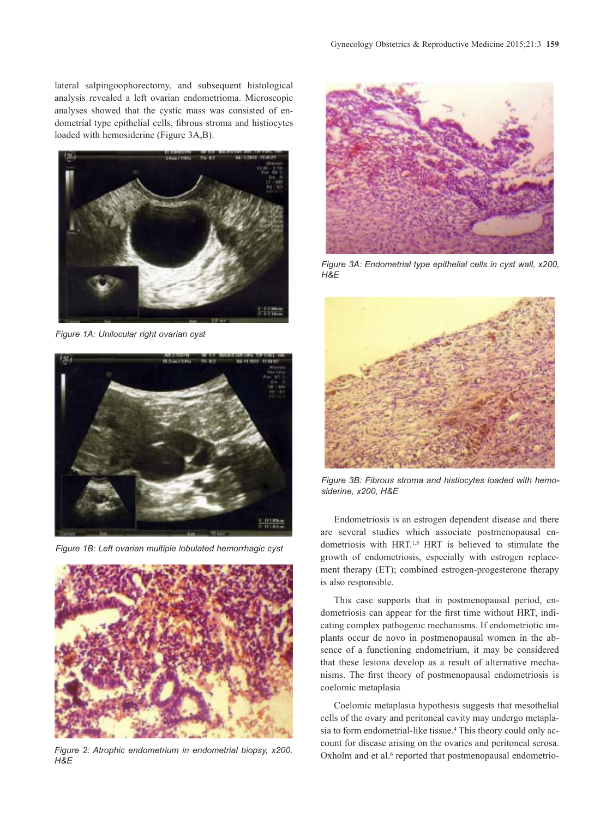lateral salpingoophorectomy, and subsequent histological analysis revealed a left ovarian endometrioma. Microscopic analyses showed that the cystic mass was consisted of endometrial type epithelial cells, fibrous stroma and histiocytes loaded with hemosiderine (Figure 3A,B).



*Figure 1A: Unilocular right ovarian cyst*



*Figure 1B: Left ovarian multiple lobulated hemorrhagic cyst*



*Figure 2: Atrophic endometrium in endometrial biopsy, x200, H&E*



*Figure 3A: Endometrial type epithelial cells in cyst wall, x200, H&E*



*Figure 3B: Fibrous stroma and histiocytes loaded with hemosiderine, x200, H&E*

Endometriosis is an estrogen dependent disease and there are several studies which associate postmenopausal endometriosis with HRT.<sup>1,5</sup> HRT is believed to stimulate the growth of endometriosis, especially with estrogen replacement therapy (ET); combined estrogen-progesterone therapy is also responsible.

This case supports that in postmenopausal period, endometriosis can appear for the first time without HRT, indicating complex pathogenic mechanisms. If endometriotic implants occur de novo in postmenopausal women in the absence of a functioning endometrium, it may be considered that these lesions develop as a result of alternative mechanisms. The first theory of postmenopausal endometriosis is coelomic metaplasia

Coelomic metaplasia hypothesis suggests that mesothelial cells of the ovary and peritoneal cavity may undergo metaplasia to form endometrial-like tissue.4 This theory could only account for disease arising on the ovaries and peritoneal serosa. Oxholm and et al.<sup>6</sup> reported that postmenopausal endometrio